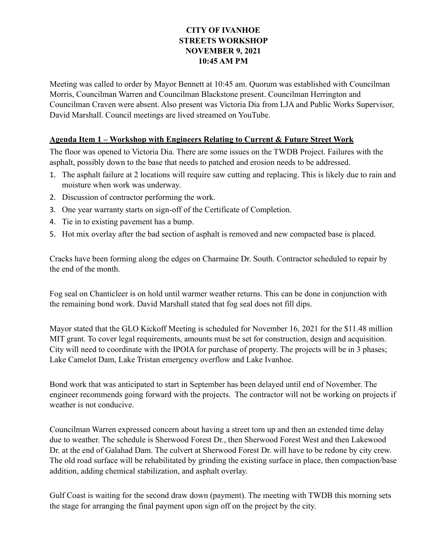## **CITY OF IVANHOE STREETS WORKSHOP NOVEMBER 9, 2021 10:45 AM PM**

Meeting was called to order by Mayor Bennett at 10:45 am. Quorum was established with Councilman Morris, Councilman Warren and Councilman Blackstone present. Councilman Herrington and Councilman Craven were absent. Also present was Victoria Dia from LJA and Public Works Supervisor, David Marshall. Council meetings are lived streamed on YouTube.

## **Agenda Item 1 – Workshop with Engineers Relating to Current & Future Street Work**

The floor was opened to Victoria Dia. There are some issues on the TWDB Project. Failures with the asphalt, possibly down to the base that needs to patched and erosion needs to be addressed.

- 1. The asphalt failure at 2 locations will require saw cutting and replacing. This is likely due to rain and moisture when work was underway.
- 2. Discussion of contractor performing the work.
- 3. One year warranty starts on sign-off of the Certificate of Completion.
- 4. Tie in to existing pavement has a bump.
- 5. Hot mix overlay after the bad section of asphalt is removed and new compacted base is placed.

Cracks have been forming along the edges on Charmaine Dr. South. Contractor scheduled to repair by the end of the month.

Fog seal on Chanticleer is on hold until warmer weather returns. This can be done in conjunction with the remaining bond work. David Marshall stated that fog seal does not fill dips.

Mayor stated that the GLO Kickoff Meeting is scheduled for November 16, 2021 for the \$11.48 million MIT grant. To cover legal requirements, amounts must be set for construction, design and acquisition. City will need to coordinate with the IPOIA for purchase of property. The projects will be in 3 phases; Lake Camelot Dam, Lake Tristan emergency overflow and Lake Ivanhoe.

Bond work that was anticipated to start in September has been delayed until end of November. The engineer recommends going forward with the projects. The contractor will not be working on projects if weather is not conducive.

Councilman Warren expressed concern about having a street torn up and then an extended time delay due to weather. The schedule is Sherwood Forest Dr., then Sherwood Forest West and then Lakewood Dr. at the end of Galahad Dam. The culvert at Sherwood Forest Dr. will have to be redone by city crew. The old road surface will be rehabilitated by grinding the existing surface in place, then compaction/base addition, adding chemical stabilization, and asphalt overlay.

Gulf Coast is waiting for the second draw down (payment). The meeting with TWDB this morning sets the stage for arranging the final payment upon sign off on the project by the city.